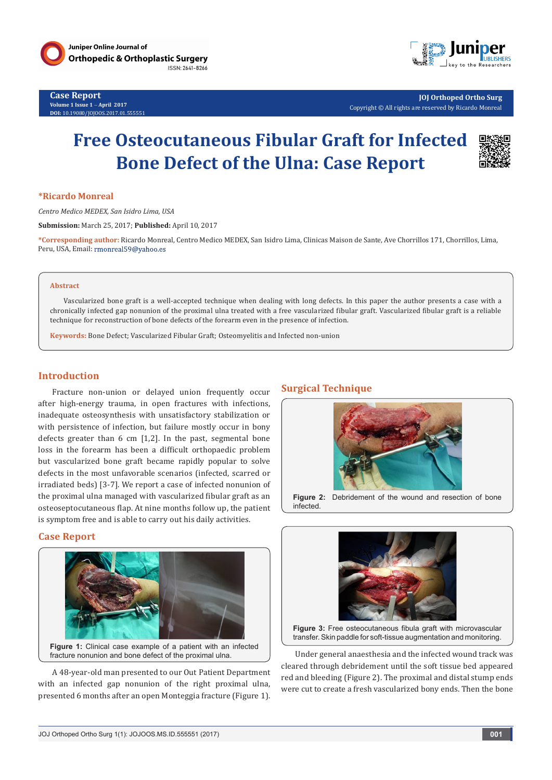

**Case Report Volume 1 Issue 1** - **April 2017 DOI:** [10.19080/JOJOOS.2017.01.555551](http://dx.doi.org/10.19080/JOJOOS.2017.01.555551
)



**JOJ Orthoped Ortho Surg** Copyright © All rights are reserved by Ricardo Monreal

# **Free Osteocutaneous Fibular Graft for Infected Bone Defect of the Ulna: Case Report**



### **\*Ricardo Monreal**

*Centro Medico MEDEX, San Isidro Lima, USA*

**Submission:** March 25, 2017; **Published:** April 10, 2017

**\*Corresponding author:** Ricardo Monreal, Centro Medico MEDEX, San Isidro Lima, Clinicas Maison de Sante, Ave Chorrillos 171, Chorrillos, Lima, Peru, USA, Email: rmonreal59@yahoo.es

#### **Abstract**

Vascularized bone graft is a well-accepted technique when dealing with long defects. In this paper the author presents a case with a chronically infected gap nonunion of the proximal ulna treated with a free vascularized fibular graft. Vascularized fibular graft is a reliable technique for reconstruction of bone defects of the forearm even in the presence of infection.

**Keywords:** Bone Defect; Vascularized Fibular Graft; Osteomyelitis and Infected non-union

### **Introduction**

Fracture non-union or delayed union frequently occur after high-energy trauma, in open fractures with infections, inadequate osteosynthesis with unsatisfactory stabilization or with persistence of infection, but failure mostly occur in bony defects greater than 6 cm [1,2]. In the past, segmental bone loss in the forearm has been a difficult orthopaedic problem but vascularized bone graft became rapidly popular to solve defects in the most unfavorable scenarios (infected, scarred or irradiated beds) [3-7]. We report a case of infected nonunion of the proximal ulna managed with vascularized fibular graft as an osteoseptocutaneous flap. At nine months follow up, the patient is symptom free and is able to carry out his daily activities.

### **Case Report**



A 48-year-old man presented to our Out Patient Department with an infected gap nonunion of the right proximal ulna, presented 6 months after an open Monteggia fracture (Figure 1).

## **Surgical Technique**



**Figure 2:** Debridement of the wound and resection of bone infected.



**Figure 3:** Free osteocutaneous fibula graft with microvascular transfer. Skin paddle for soft-tissue augmentation and monitoring.

Under general anaesthesia and the infected wound track was cleared through debridement until the soft tissue bed appeared red and bleeding (Figure 2). The proximal and distal stump ends were cut to create a fresh vascularized bony ends. Then the bone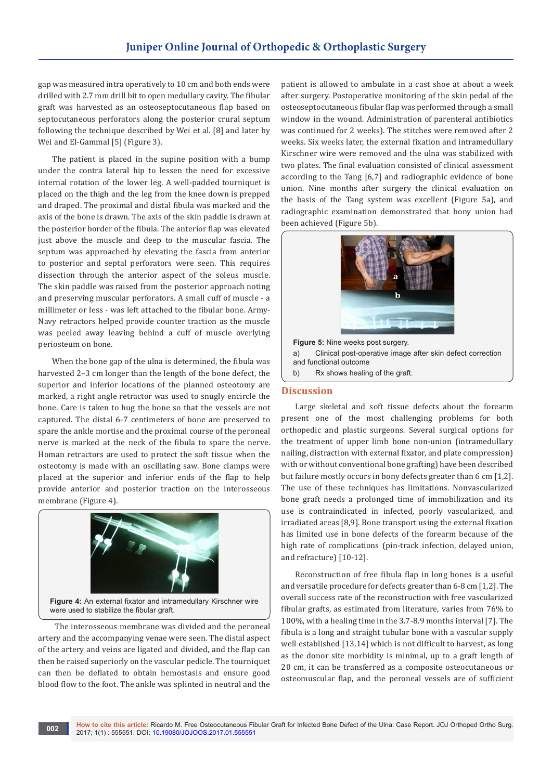gap was measured intra operatively to 10 cm and both ends were drilled with 2.7 mm drill bit to open medullary cavity. The fibular graft was harvested as an osteoseptocutaneous flap based on septocutaneous perforators along the posterior crural septum following the technique described by Wei et al. [8] and later by Wei and El-Gammal [5] (Figure 3).

The patient is placed in the supine position with a bump under the contra lateral hip to lessen the need for excessive internal rotation of the lower leg. A well-padded tourniquet is placed on the thigh and the leg from the knee down is prepped and draped. The proximal and distal fibula was marked and the axis of the bone is drawn. The axis of the skin paddle is drawn at the posterior border of the fibula. The anterior flap was elevated just above the muscle and deep to the muscular fascia. The septum was approached by elevating the fascia from anterior to posterior and septal perforators were seen. This requires dissection through the anterior aspect of the soleus muscle. The skin paddle was raised from the posterior approach noting and preserving muscular perforators. A small cuff of muscle - a millimeter or less - was left attached to the fibular bone. Army-Navy retractors helped provide counter traction as the muscle was peeled away leaving behind a cuff of muscle overlying periosteum on bone.

When the bone gap of the ulna is determined, the fibula was harvested 2–3 cm longer than the length of the bone defect, the superior and inferior locations of the planned osteotomy are marked, a right angle retractor was used to snugly encircle the bone. Care is taken to hug the bone so that the vessels are not captured. The distal 6-7 centimeters of bone are preserved to spare the ankle mortise and the proximal course of the peroneal nerve is marked at the neck of the fibula to spare the nerve. Homan retractors are used to protect the soft tissue when the osteotomy is made with an oscillating saw. Bone clamps were placed at the superior and inferior ends of the flap to help provide anterior and posterior traction on the interosseous membrane (Figure 4).



were used to stabilize the fibular graft.

 The interosseous membrane was divided and the peroneal artery and the accompanying venae were seen. The distal aspect of the artery and veins are ligated and divided, and the flap can then be raised superiorly on the vascular pedicle. The tourniquet can then be deflated to obtain hemostasis and ensure good blood flow to the foot. The ankle was splinted in neutral and the

patient is allowed to ambulate in a cast shoe at about a week after surgery. Postoperative monitoring of the skin pedal of the osteoseptocutaneous fibular flap was performed through a small window in the wound. Administration of parenteral antibiotics was continued for 2 weeks). The stitches were removed after 2 weeks. Six weeks later, the external fixation and intramedullary Kirschner wire were removed and the ulna was stabilized with two plates. The final evaluation consisted of clinical assessment according to the Tang [6,7] and radiographic evidence of bone union. Nine months after surgery the clinical evaluation on the basis of the Tang system was excellent (Figure 5a), and radiographic examination demonstrated that bony union had been achieved (Figure 5b).



b) Rx shows healing of the graft.

#### **Discussion**

Large skeletal and soft tissue defects about the forearm present one of the most challenging problems for both orthopedic and plastic surgeons. Several surgical options for the treatment of upper limb bone non-union (intramedullary nailing, distraction with external fixator, and plate compression) with or without conventional bone grafting) have been described but failure mostly occurs in bony defects greater than 6 cm [1,2]. The use of these techniques has limitations. Nonvascularized bone graft needs a prolonged time of immobilization and its use is contraindicated in infected, poorly vascularized, and irradiated areas [8,9]. Bone transport using the external fixation has limited use in bone defects of the forearm because of the high rate of complications (pin-track infection, delayed union, and refracture) [10-12].

Reconstruction of free fibula flap in long bones is a useful and versatile procedure for defects greater than 6-8 cm [1,2]. The overall success rate of the reconstruction with free vascularized fibular grafts, as estimated from literature, varies from 76% to 100%, with a healing time in the 3.7-8.9 months interval [7]. The fibula is a long and straight tubular bone with a vascular supply well established [13,14] which is not difficult to harvest, as long as the donor site morbidity is minimal, up to a graft length of 20 cm, it can be transferred as a composite osteocutaneous or osteomuscular flap, and the peroneal vessels are of sufficient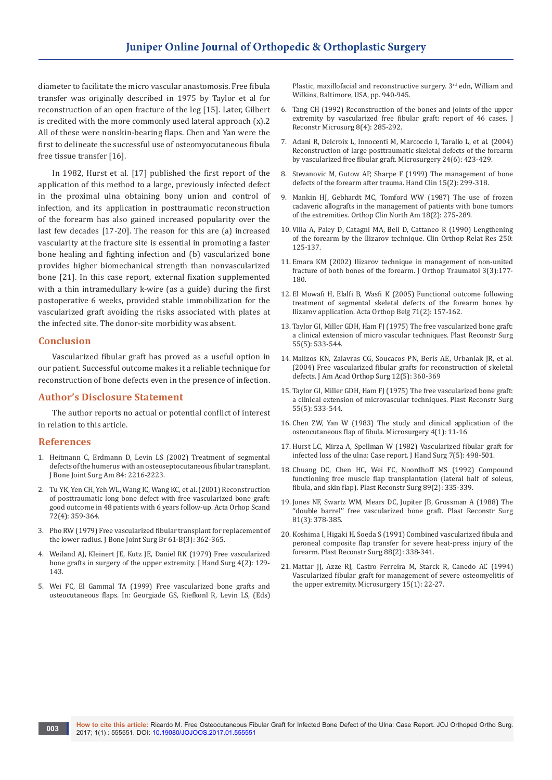diameter to facilitate the micro vascular anastomosis. Free fibula transfer was originally described in 1975 by Taylor et al for reconstruction of an open fracture of the leg [15]. Later, Gilbert is credited with the more commonly used lateral approach (x).2 All of these were nonskin-bearing flaps. Chen and Yan were the first to delineate the successful use of osteomyocutaneous fibula free tissue transfer [16].

In 1982, Hurst et al. [17] published the first report of the application of this method to a large, previously infected defect in the proximal ulna obtaining bony union and control of infection, and its application in posttraumatic reconstruction of the forearm has also gained increased popularity over the last few decades [17-20]. The reason for this are (a) increased vascularity at the fracture site is essential in promoting a faster bone healing and fighting infection and (b) vascularized bone provides higher biomechanical strength than nonvascularized bone [21]. In this case report, external fixation supplemented with a thin intramedullary k-wire (as a guide) during the first postoperative 6 weeks, provided stable immobilization for the vascularized graft avoiding the risks associated with plates at the infected site. The donor-site morbidity was absent.

## **Conclusion**

Vascularized fibular graft has proved as a useful option in our patient. Successful outcome makes it a reliable technique for reconstruction of bone defects even in the presence of infection.

## **Author's Disclosure Statement**

The author reports no actual or potential conflict of interest in relation to this article.

## **References**

- 1. [Heitmann C, Erdmann D, Levin LS \(2002\) Treatment of segmental](https://www.ncbi.nlm.nih.gov/pubmed/12473711)  [defects of the humerus with an osteoseptocutaneous fibular transplant.](https://www.ncbi.nlm.nih.gov/pubmed/12473711)  [J Bone Joint Surg Am 84: 2216-2223.](https://www.ncbi.nlm.nih.gov/pubmed/12473711)
- 2. [Tu YK, Yen CH, Yeh WL, Wang IC, Wang KC, et al. \(2001\) Reconstruction](http://www.tandfonline.com/doi/pdf/10.1080/000164701753542014)  [of posttraumatic long bone defect with free vascularized bone graft:](http://www.tandfonline.com/doi/pdf/10.1080/000164701753542014)  [good outcome in 48 patients with 6 years follow-up. Acta Orhop Scand](http://www.tandfonline.com/doi/pdf/10.1080/000164701753542014)  [72\(4\): 359-364.](http://www.tandfonline.com/doi/pdf/10.1080/000164701753542014)
- 3. [Pho RW \(1979\) Free vascularized fibular transplant for replacement of](https://www.ncbi.nlm.nih.gov/pubmed/479261)  [the lower radius. J Bone Joint Surg Br 61-B\(3\): 362-365.](https://www.ncbi.nlm.nih.gov/pubmed/479261)
- 4. [Weiland AJ, Kleinert JE, Kutz JE, Daniel RK \(1979\) Free vascularized](https://www.ncbi.nlm.nih.gov/pubmed/370187)  [bone grafts in surgery of the upper extremity. J Hand Surg 4\(2\): 129-](https://www.ncbi.nlm.nih.gov/pubmed/370187) [143.](https://www.ncbi.nlm.nih.gov/pubmed/370187)
- 5. Wei FC, El Gammal TA (1999) Free vascularized bone grafts and osteocutaneous flaps. In: Georgiade GS, Riefkonl R, Levin LS, (Eds)

Plastic, maxillofacial and reconstructive surgery. 3rd edn, William and Wilkins, Baltimore, USA, pp. 940-945.

- 6. [Tang CH \(1992\) Reconstruction of the bones and joints of the upper](https://www.ncbi.nlm.nih.gov/pubmed/1629805)  [extremity by vascularized free fibular graft: report of 46 cases. J](https://www.ncbi.nlm.nih.gov/pubmed/1629805)  [Reconstr Microsurg 8\(4\): 285-292.](https://www.ncbi.nlm.nih.gov/pubmed/1629805)
- 7. [Adani R, Delcroix L, Innocenti M, Marcoccio I, Tarallo L, et al. \(2004\)](https://www.ncbi.nlm.nih.gov/pubmed/15378573)  [Reconstruction of large posttraumatic skeletal defects of the forearm](https://www.ncbi.nlm.nih.gov/pubmed/15378573)  [by vascularized free fibular graft. Microsurgery 24\(6\): 423-429.](https://www.ncbi.nlm.nih.gov/pubmed/15378573)
- 8. [Stevanovic M, Gutow AP, Sharpe F \(1999\) The management of bone](https://www.ncbi.nlm.nih.gov/pubmed/10361640)  [defects of the forearm after trauma. Hand Clin 15\(2\): 299-318.](https://www.ncbi.nlm.nih.gov/pubmed/10361640)
- 9. [Mankin HJ, Gebhardt MC, Tomford WW \(1987\) The use of frozen](https://www.ncbi.nlm.nih.gov/pubmed/3550576)  [cadaveric allografts in the management of patients with bone tumors](https://www.ncbi.nlm.nih.gov/pubmed/3550576)  [of the extremities. Orthop Clin North Am 18\(2\): 275-289.](https://www.ncbi.nlm.nih.gov/pubmed/3550576)
- 10. [Villa A, Paley D, Catagni MA, Bell D, Cattaneo R \(1990\) Lengthening](https://www.ncbi.nlm.nih.gov/pubmed/2293920)  [of the forearm by the Ilizarov technique. Clin Orthop Relat Res 250:](https://www.ncbi.nlm.nih.gov/pubmed/2293920)  [125-137.](https://www.ncbi.nlm.nih.gov/pubmed/2293920)
- 11. [Emara KM \(2002\) Ilizarov technique in management of non-united](https://link.springer.com/article/10.1007/s101950200046)  [fracture of both bones of the forearm. J Orthop Traumatol 3\(3\):177-](https://link.springer.com/article/10.1007/s101950200046) [180.](https://link.springer.com/article/10.1007/s101950200046)
- 12. [El Mowafi H, Elalfi B, Wasfi K \(2005\) Functional outcome following](https://www.ncbi.nlm.nih.gov/pubmed/16152848)  [treatment of segmental skeletal defects of the forearm bones by](https://www.ncbi.nlm.nih.gov/pubmed/16152848)  [Ilizarov application. Acta Orthop Belg 71\(2\): 157-162.](https://www.ncbi.nlm.nih.gov/pubmed/16152848)
- 13. [Taylor GI, Miller GDH, Ham FJ \(1975\) The free vascularized bone graft:](https://www.ncbi.nlm.nih.gov/pubmed/1096183)  [a clinical extension of micro vascular techniques. Plast Reconstr Surg](https://www.ncbi.nlm.nih.gov/pubmed/1096183)  [55\(5\): 533-544.](https://www.ncbi.nlm.nih.gov/pubmed/1096183)
- 14. [Malizos KN, Zalavras CG, Soucacos PN, Beris AE, Urbaniak JR, et al.](https://www.ncbi.nlm.nih.gov/pubmed/15469230)  [\(2004\) Free vascularized fibular grafts for reconstruction of skeletal](https://www.ncbi.nlm.nih.gov/pubmed/15469230)  [defects. J Am Acad Orthop Surg 12\(5\): 360-369](https://www.ncbi.nlm.nih.gov/pubmed/15469230)
- 15. [Taylor GI, Miller GDH, Ham FJ \(1975\) The free vascularized bone graft:](https://www.ncbi.nlm.nih.gov/pubmed/1096183)  [a clinical extension of microvascular techniques. Plast Reconstr Surg](https://www.ncbi.nlm.nih.gov/pubmed/1096183)  [55\(5\): 533-544.](https://www.ncbi.nlm.nih.gov/pubmed/1096183)
- 16. [Chen ZW, Yan W \(1983\) The study and clinical application of the](https://www.ncbi.nlm.nih.gov/pubmed/6633239)  [osteocutaneous flap of fibula. Microsurgery 4\(1\): 11-16](https://www.ncbi.nlm.nih.gov/pubmed/6633239)
- 17. [Hurst LC, Mirza A, Spellman W \(1982\) Vascularized fibular graft for](https://www.researchgate.net/publication/16067739_Vascularized_fibular_graft_for_infected_loss_of_the_ulna_Case_report)  [infected loss of the ulna: Case report. J Hand Surg 7\(5\): 498-501.](https://www.researchgate.net/publication/16067739_Vascularized_fibular_graft_for_infected_loss_of_the_ulna_Case_report)
- 18. [Chuang DC, Chen HC, Wei FC, Noordhoff MS \(1992\) Compound](https://www.ncbi.nlm.nih.gov/pubmed/1732905)  [functioning free muscle flap transplantation \(lateral half of soleus,](https://www.ncbi.nlm.nih.gov/pubmed/1732905)  [fibula, and skin flap\). Plast Reconstr Surg 89\(2\): 335-339.](https://www.ncbi.nlm.nih.gov/pubmed/1732905)
- 19. [Jones NF, Swartz WM, Mears DC, Jupiter JB, Grossman A \(1988\) The](https://www.ncbi.nlm.nih.gov/pubmed/3340672)  "double barrel" free vascularized bone graft. Plast Reconstr Surg [81\(3\): 378-385.](https://www.ncbi.nlm.nih.gov/pubmed/3340672)
- 20. [Koshima I, Higaki H, Soeda S \(1991\) Combined vascularized fibula and](https://www.ncbi.nlm.nih.gov/pubmed/1852831)  [peroneal composite flap transfer for severe heat-press injury of the](https://www.ncbi.nlm.nih.gov/pubmed/1852831)  [forearm. Plast Reconstr Surg 88\(2\): 338-341.](https://www.ncbi.nlm.nih.gov/pubmed/1852831)
- 21. [Mattar JJ, Azze RJ, Castro Ferreira M, Starck R, Canedo AC \(1994\)](https://www.ncbi.nlm.nih.gov/pubmed/8133765)  [Vascularized fibular graft for management of severe osteomyelitis of](https://www.ncbi.nlm.nih.gov/pubmed/8133765)  [the upper extremity. Microsurgery 15\(1\): 22-27.](https://www.ncbi.nlm.nih.gov/pubmed/8133765)